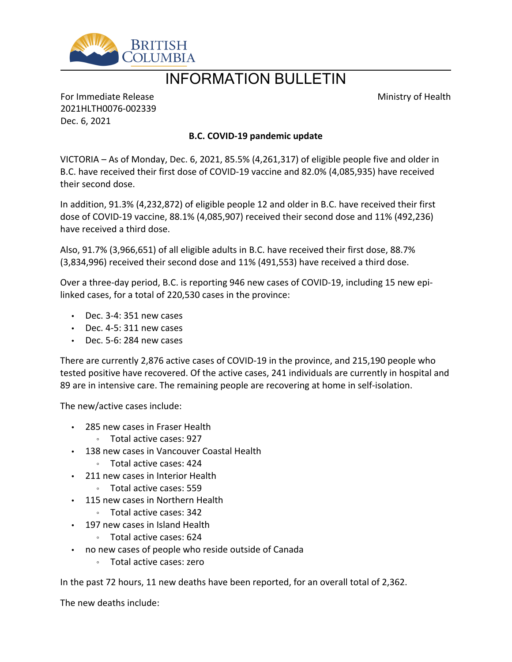

# INFORMATION BULLETIN

Ministry of Health

For Immediate Release 2021HLTH0076-002339 Dec. 6, 2021

## **B.C. COVID-19 pandemic update**

VICTORIA  $-$  As of Monday, Dec. 6, 2021, 85.5% (4,261,317) of eligible people five and older in B.C. have received their first dose of COVID-19 vaccine and 82.0% (4,085,935) have received their second dose.

In addition, 91.3% (4,232,872) of eligible people 12 and older in B.C. have received their first dose of COVID-19 vaccine, 88.1% (4,085,907) received their second dose and 11% (492,236) have received a third dose.

Also, 91.7% (3,966,651) of all eligible adults in B.C. have received their first dose, 88.7% (3,834,996) received their second dose and 11% (491,553) have received a third dose.

Over a three-day period, B.C. is reporting 946 new cases of COVID-19, including 15 new epilinked cases, for a total of 220,530 cases in the province:

- $\cdot$  Dec. 3-4: 351 new cases
- $\cdot$  Dec. 4-5: 311 new cases
- $\cdot$  Dec. 5-6: 284 new cases

There are currently 2,876 active cases of COVID-19 in the province, and 215,190 people who tested positive have recovered. Of the active cases, 241 individuals are currently in hospital and 89 are in intensive care. The remaining people are recovering at home in self-isolation.

The new/active cases include:

- 285 new cases in Fraser Health
	- ƕ Total active cases: 927
- 138 new cases in Vancouver Coastal Health
	- ƕ Total active cases: 424
- 211 new cases in Interior Health
	- ƕ Total active cases: 559
- 115 new cases in Northern Health
	- ƕ Total active cases: 342
- 197 new cases in Island Health
	- ƕ Total active cases: 624
- no new cases of people who reside outside of Canada
	- ƕ Total active cases: zero

In the past 72 hours, 11 new deaths have been reported, for an overall total of 2,362.

The new deaths include: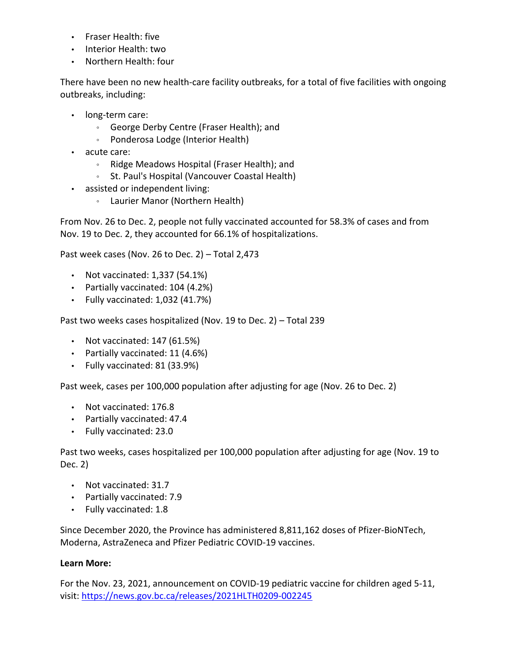- Fraser Health: five
- Interior Health: two
- Northern Health: four

There have been no new health-care facility outbreaks, for a total of five facilities with ongoing outbreaks, including:

- long-term care:
	- ƕ George Derby Centre (Fraser Health); and
	- Ponderosa Lodge (Interior Health)
- acute care:
	- ƕ Ridge Meadows Hospital (Fraser Health); and
	- ƕ St. Paul's Hospital (Vancouver Coastal Health)
- assisted or independent living:
	- Laurier Manor (Northern Health)

From Nov. 26 to Dec. 2, people not fully vaccinated accounted for 58.3% of cases and from Nov. 19 to Dec. 2, they accounted for 66.1% of hospitalizations.

Past week cases (Nov. 26 to Dec. 2)  $-$  Total 2,473

- Not vaccinated:  $1,337$  (54.1%)
- Partially vaccinated: 104 (4.2%)
- $\cdot$  Fully vaccinated: 1,032 (41.7%)

Past two weeks cases hospitalized (Nov. 19 to Dec. 2)  $-$  Total 239

- $\cdot$  Not vaccinated: 147 (61.5%)
- Partially vaccinated: 11 (4.6%)
- Fully vaccinated: 81 (33.9%)

Past week, cases per 100,000 population after adjusting for age (Nov. 26 to Dec. 2)

- Not vaccinated: 176.8
- Partially vaccinated: 47.4
- Fully vaccinated: 23.0

Past two weeks, cases hospitalized per 100,000 population after adjusting for age (Nov. 19 to Dec. 2)

- Not vaccinated: 31.7
- Partially vaccinated: 7.9
- Fully vaccinated: 1.8

Since December 2020, the Province has administered 8,811,162 doses of Pfizer-BioNTech, Moderna, AstraZeneca and Pfizer Pediatric COVID-19 vaccines.

## **Learn More:**

For the Nov. 23, 2021, announcement on COVID-19 pediatric vaccine for children aged 5-11, visit: <https://news.gov.bc.ca/releases/2021HLTH0209-002245>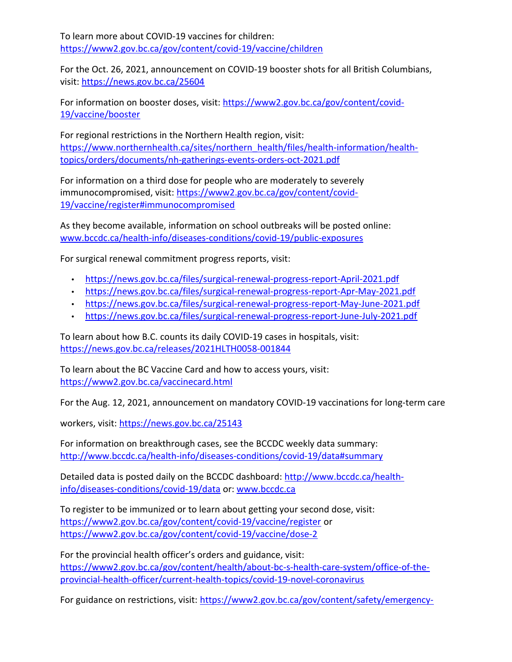To learn more about COVID-19 vaccines for children: <https://www2.gov.bc.ca/gov/content/covid-19/vaccine/children>

For the Oct. 26, 2021, announcement on COVID-19 booster shots for all British Columbians, visit: <https://news.gov.bc.ca/25604>

For information on booster doses, visit: [https://www2.gov.bc.ca/gov/content/covid-](https://www2.gov.bc.ca/gov/content/covid-19/vaccine/booster)[19/vaccine/booster](https://www2.gov.bc.ca/gov/content/covid-19/vaccine/booster)

For regional restrictions in the Northern Health region, visit: [https://www.northernhealth.ca/sites/northern\\_health/files/health-information/health](https://www.northernhealth.ca/sites/northern_health/files/health-information/health-topics/orders/documents/nh-gatherings-events-orders-oct-2021.pdf)[topics/orders/documents/nh-gatherings-events-orders-oct-2021.pdf](https://www.northernhealth.ca/sites/northern_health/files/health-information/health-topics/orders/documents/nh-gatherings-events-orders-oct-2021.pdf)

For information on a third dose for people who are moderately to severely immunocompromised, visit: [https://www2.gov.bc.ca/gov/content/covid-](https://www2.gov.bc.ca/gov/content/covid-19/vaccine/register#immunocompromised)[19/vaccine/register#immunocompromised](https://www2.gov.bc.ca/gov/content/covid-19/vaccine/register#immunocompromised)

As they become available, information on school outbreaks will be posted online: [www.bccdc.ca/health-info/diseases-conditions/covid-19/public-exposures](http://www.bccdc.ca/health-info/diseases-conditions/covid-19/public-exposures)

For surgical renewal commitment progress reports, visit:

- <https://news.gov.bc.ca/files/surgical-renewal-progress-report-April-2021.pdf>
- <https://news.gov.bc.ca/files/surgical-renewal-progress-report-Apr-May-2021.pdf>
- <https://news.gov.bc.ca/files/surgical-renewal-progress-report-May-June-2021.pdf>
- <https://news.gov.bc.ca/files/surgical-renewal-progress-report-June-July-2021.pdf>

To learn about how B.C. counts its daily COVID-19 cases in hospitals, visit: <https://news.gov.bc.ca/releases/2021HLTH0058-001844>

To learn about the BC Vaccine Card and how to access yours, visit: <https://www2.gov.bc.ca/vaccinecard.html>

For the Aug. 12, 2021, announcement on mandatory COVID-19 vaccinations for long-term care

workers, visit: <https://news.gov.bc.ca/25143>

For information on breakthrough cases, see the BCCDC weekly data summary: <http://www.bccdc.ca/health-info/diseases-conditions/covid-19/data#summary>

Detailed data is posted daily on the BCCDC dashboard: [http://www.bccdc.ca/health](http://www.bccdc.ca/health-info/diseases-conditions/covid-19/data)[info/diseases-conditions/covid-19/data](http://www.bccdc.ca/health-info/diseases-conditions/covid-19/data) or: [www.bccdc.ca](http://www.bccdc.ca/)

To register to be immunized or to learn about getting your second dose, visit: <https://www2.gov.bc.ca/gov/content/covid-19/vaccine/register> or <https://www2.gov.bc.ca/gov/content/covid-19/vaccine/dose-2>

For the provincial health officer's orders and guidance, visit: [https://www2.gov.bc.ca/gov/content/health/about-bc-s-health-care-system/office-of-the](https://www2.gov.bc.ca/gov/content/health/about-bc-s-health-care-system/office-of-the-provincial-health-officer/current-health-topics/covid-19-novel-coronavirus)[provincial-health-officer/current-health-topics/covid-19-novel-coronavirus](https://www2.gov.bc.ca/gov/content/health/about-bc-s-health-care-system/office-of-the-provincial-health-officer/current-health-topics/covid-19-novel-coronavirus)

For guidance on restrictions, visit: [https://www2.gov.bc.ca/gov/content/safety/emergency-](https://www2.gov.bc.ca/gov/content/safety/emergency-preparedness-response-recovery/covid-19-provincial-support/restrictions)